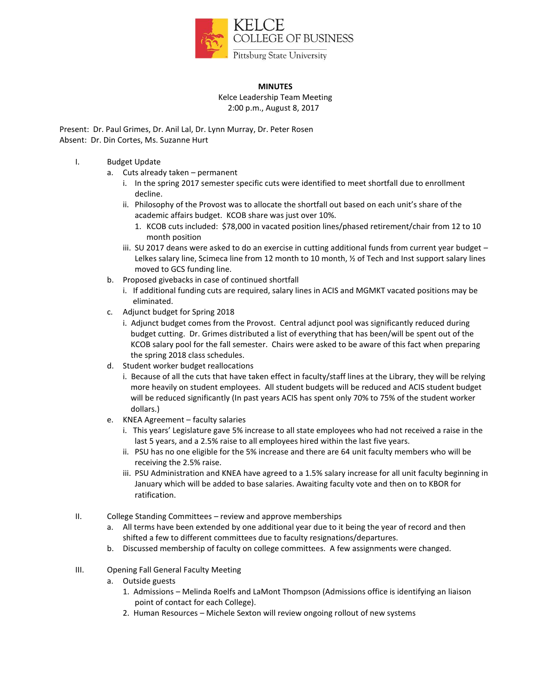

## **MINUTES**

Kelce Leadership Team Meeting 2:00 p.m., August 8, 2017

Present: Dr. Paul Grimes, Dr. Anil Lal, Dr. Lynn Murray, Dr. Peter Rosen Absent: Dr. Din Cortes, Ms. Suzanne Hurt

- I. Budget Update
	- a. Cuts already taken permanent
		- i. In the spring 2017 semester specific cuts were identified to meet shortfall due to enrollment decline.
		- ii. Philosophy of the Provost was to allocate the shortfall out based on each unit's share of the academic affairs budget. KCOB share was just over 10%.
			- 1. KCOB cuts included: \$78,000 in vacated position lines/phased retirement/chair from 12 to 10 month position
		- iii. SU 2017 deans were asked to do an exercise in cutting additional funds from current year budget Lelkes salary line, Scimeca line from 12 month to 10 month, ½ of Tech and Inst support salary lines moved to GCS funding line.
	- b. Proposed givebacks in case of continued shortfall
		- i. If additional funding cuts are required, salary lines in ACIS and MGMKT vacated positions may be eliminated.
	- c. Adjunct budget for Spring 2018
		- i. Adjunct budget comes from the Provost. Central adjunct pool was significantly reduced during budget cutting. Dr. Grimes distributed a list of everything that has been/will be spent out of the KCOB salary pool for the fall semester. Chairs were asked to be aware of this fact when preparing the spring 2018 class schedules.
	- d. Student worker budget reallocations
		- i. Because of all the cuts that have taken effect in faculty/staff lines at the Library, they will be relying more heavily on student employees. All student budgets will be reduced and ACIS student budget will be reduced significantly (In past years ACIS has spent only 70% to 75% of the student worker dollars.)
	- e. KNEA Agreement faculty salaries
		- i. This years' Legislature gave 5% increase to all state employees who had not received a raise in the last 5 years, and a 2.5% raise to all employees hired within the last five years.
		- ii. PSU has no one eligible for the 5% increase and there are 64 unit faculty members who will be receiving the 2.5% raise.
		- iii. PSU Administration and KNEA have agreed to a 1.5% salary increase for all unit faculty beginning in January which will be added to base salaries. Awaiting faculty vote and then on to KBOR for ratification.
- II. College Standing Committees review and approve memberships
	- a. All terms have been extended by one additional year due to it being the year of record and then shifted a few to different committees due to faculty resignations/departures.
	- b. Discussed membership of faculty on college committees. A few assignments were changed.
- III. Opening Fall General Faculty Meeting
	- a. Outside guests
		- 1. Admissions Melinda Roelfs and LaMont Thompson (Admissions office is identifying an liaison point of contact for each College).
		- 2. Human Resources Michele Sexton will review ongoing rollout of new systems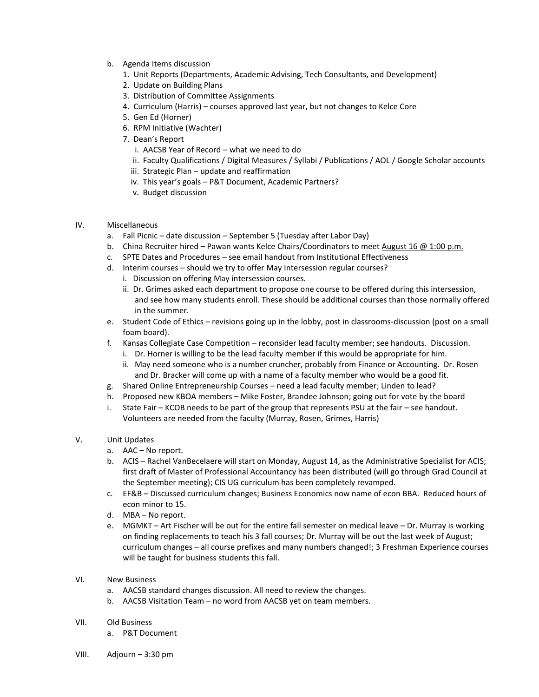- b. Agenda Items discussion
	- 1. Unit Reports (Departments, Academic Advising, Tech Consultants, and Development)
	- 2. Update on Building Plans
	- 3. Distribution of Committee Assignments
	- 4. Curriculum (Harris) courses approved last year, but not changes to Kelce Core
	- 5. Gen Ed (Horner)
	- 6. RPM Initiative (Wachter)
	- 7. Dean's Report
		- i. AACSB Year of Record what we need to do
		- ii. Faculty Qualifications / Digital Measures / Syllabi / Publications / AOL / Google Scholar accounts
		- iii. Strategic Plan update and reaffirmation
		- iv. This year's goals P&T Document, Academic Partners?
		- v. Budget discussion
- IV. Miscellaneous
	- a. Fall Picnic date discussion September 5 (Tuesday after Labor Day)
	- b. China Recruiter hired Pawan wants Kelce Chairs/Coordinators to meet August 16  $@$  1:00 p.m.
	- c. SPTE Dates and Procedures see email handout from Institutional Effectiveness
	- d. Interim courses should we try to offer May Intersession regular courses?
		- i. Discussion on offering May intersession courses.
		- ii. Dr. Grimes asked each department to propose one course to be offered during this intersession, and see how many students enroll. These should be additional courses than those normally offered in the summer.
	- e. Student Code of Ethics revisions going up in the lobby, post in classrooms-discussion (post on a small foam board).
	- f. Kansas Collegiate Case Competition reconsider lead faculty member; see handouts. Discussion.
		- i. Dr. Horner is willing to be the lead faculty member if this would be appropriate for him.
		- ii. May need someone who is a number cruncher, probably from Finance or Accounting. Dr. Rosen and Dr. Bracker will come up with a name of a faculty member who would be a good fit.
	- g. Shared Online Entrepreneurship Courses need a lead faculty member; Linden to lead?
	- h. Proposed new KBOA members Mike Foster, Brandee Johnson; going out for vote by the board
	- i. State Fair KCOB needs to be part of the group that represents PSU at the fair see handout. Volunteers are needed from the faculty (Murray, Rosen, Grimes, Harris)
- V. Unit Updates
	- a. AAC No report.
	- b. ACIS Rachel VanBecelaere will start on Monday, August 14, as the Administrative Specialist for ACIS; first draft of Master of Professional Accountancy has been distributed (will go through Grad Council at the September meeting); CIS UG curriculum has been completely revamped.
	- c. EF&B Discussed curriculum changes; Business Economics now name of econ BBA. Reduced hours of econ minor to 15.
	- d. MBA No report.
	- e. MGMKT Art Fischer will be out for the entire fall semester on medical leave Dr. Murray is working on finding replacements to teach his 3 fall courses; Dr. Murray will be out the last week of August; curriculum changes – all course prefixes and many numbers changed!; 3 Freshman Experience courses will be taught for business students this fall.
- VI. New Business
	- a. AACSB standard changes discussion. All need to review the changes.
	- b. AACSB Visitation Team no word from AACSB yet on team members.
- VII. Old Business
	- a. P&T Document
- VIII. Adjourn 3:30 pm